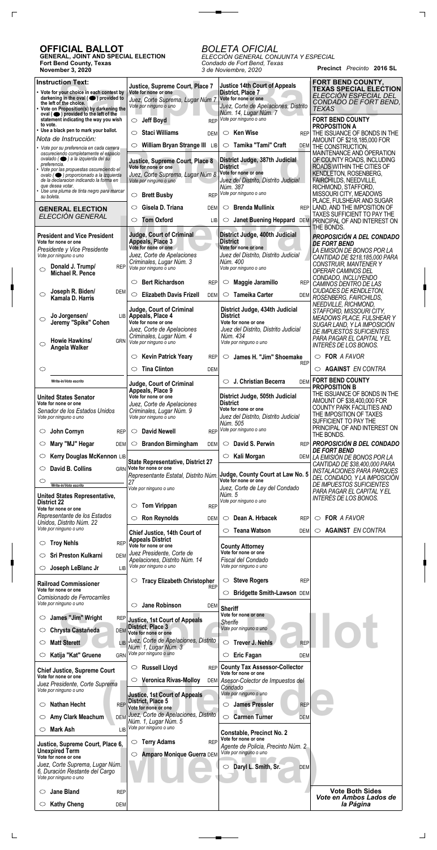**Precinct** *Precinto* **2016 SL**

## **OFFICIAL BALLOT**

 $\Gamma$ 

 $\Box$ 

**GENERAL, JOINT AND SPECIAL ELECTION Fort Bend County, Texas November 3, 2020**

## *BOLETA OFICIAL*

 $\overline{\phantom{a}}$ 

*ELECCIÓN GENERAL CONJUNTA Y ESPECIAL Condado de Fort Bend, Texas 3 de Noviembre, 2020*

| <b>Instruction Text:</b>                                                                                                | Justice, Supreme Court, Place 7                                      | <b>Justice 14th Court of Appeals</b>                          | FORT BEND COUNTY,<br><b>TEXAS SPECIAL ELECTION</b>                   |
|-------------------------------------------------------------------------------------------------------------------------|----------------------------------------------------------------------|---------------------------------------------------------------|----------------------------------------------------------------------|
| • Vote for your choice in each contest by<br>darkening in the oval $($ $\bullet)$ provided to                           | Vote for none or one<br>Juez, Corte Suprema, Lugar Núm 7             | District, Place 7<br>Vote for none or one                     | ELECCIÓN ESPECIAL DEL                                                |
| the left of the choice.<br>• Vote on Proposition(s) by darkening the                                                    | Vote por ninguno o uno                                               | Juez, Corte de Apelaciones, Distrito<br>Núm. 14, Lugar Núm. 7 | CONDADO DE FORT BEND.<br><b>TEXAS</b>                                |
| oval $($ $\bullet)$ provided to the left of the<br>statement indicating the way you wish<br>to vote.                    | <b>Jeff Boyd</b><br><b>REP</b><br>$\circ$                            | Vote por ninguno o uno                                        | <b>FORT BEND COUNTY</b>                                              |
| • Use a black pen to mark your ballot.                                                                                  | <b>Staci Williams</b><br>◯<br><b>DEM</b>                             | $\circ$ Ken Wise                                              | <b>PROPOSITION A</b><br>REP THE ISSUANCE OF BONDS IN THE             |
| Nota de Instrucción:                                                                                                    | William Bryan Strange III LIB<br>$\circlearrowright$                 | $\circ$ Tamika "Tami" Craft                                   | AMOUNT OF \$218,185,000 FOR<br>DEM THE CONSTRUCTION,                 |
| • Vote por su preferencia en cada carrera<br>oscureciendo completamente el espacio<br>ovalado ( ) a la izquierda del su |                                                                      |                                                               | MAINTENANCE AND OPERATION                                            |
| preferencia.<br>Vote por las propuestas oscureciendo el                                                                 | Justice, Supreme Court, Place 8<br>Vote for none or one              | District Judge, 387th Judicial<br><b>District</b>             | OF COUNTY ROADS, INCLUDING<br>ROADS WITHIN THE CITIES OF             |
| ovalo ( i proporcionado a la izquierda<br>de la declaracion indicando la forma en                                       | Juez, Corte Suprema, Lugar Núm 8<br>Vote por ninguno o uno           | Vote for none or one<br>Juez del Distrito, Distrito Judicial  | <b>KENDLETON, ROSENBERG,</b><br>FAIRCHILDS, NEEDVILLE,               |
| que desea votar.<br>Use una pluma de tinta negro para marcar                                                            |                                                                      | Núm. 387                                                      | RICHMOND, STAFFORD,                                                  |
| su boleta.                                                                                                              | <b>Brett Busby</b><br><b>REP</b><br>$\circ$                          | Vote por ninguno o uno                                        | MISSOURI CITY, MEADOWS<br>PLACE, FULSHEAR AND SUGAR                  |
| <b>GENERAL ELECTION</b><br>ELECCIÓN GENERAL                                                                             | Gisela D. Triana<br>$\circ$<br><b>DEM</b>                            | <b>Brenda Mullinix</b><br>$\circ$                             | REP LAND, AND THE IMPOSITION OF<br>TAXES SUFFICIENT TO PAY THE       |
|                                                                                                                         | <b>Tom Oxford</b><br>$\circ$<br>LIB                                  | $\circ$                                                       | Janet Buening Heppard DEM PRINCIPAL OF AND INTEREST ON<br>THE BONDS. |
| <b>President and Vice President</b>                                                                                     | <b>Judge, Court of Criminal</b>                                      | District Judge, 400th Judicial                                | <b>PROPOSICIÓN A DEL CONDADO</b>                                     |
| Vote for none or one<br>Presidente y Vice Presidente                                                                    | Appeals, Place 3<br>Vote for none or one                             | <b>District</b><br>Vote for none or one                       | <b>DE FORT BEND</b><br>LA EMISIÓN DE BONOS POR LA                    |
| Vote por ninguno o uno                                                                                                  | Juez, Corte de Apelaciones<br>Criminales, Lugar Núm. 3               | Juez del Distrito, Distrito Judicial<br>Núm. 400              | CANTIDAD DE \$218,185,000 PARA                                       |
| Donald J. Trump/<br><b>REP</b><br>$\circ$<br>Michael R. Pence                                                           | Vote por ninguno o uno                                               | Vote por ninguno o uno                                        | <b>CONSTRUIR, MANTENER Y</b><br>OPERAR CAMINOS DEL                   |
|                                                                                                                         | <b>Bert Richardson</b><br>$\circ$<br><b>REP</b>                      | Maggie Jaramillo<br><b>REP</b><br>O                           | CONDADO, INCLUYENDO<br>CAMINOS DENTRO DE LAS                         |
| Joseph R. Biden/<br><b>DEM</b><br>$\circ$<br>Kamala D. Harris                                                           | <b>Elizabeth Davis Frizell</b><br>$\circlearrowright$<br><b>DEM</b>  | Tameika Carter<br>$\circ$<br>DEM                              | CIUDADES DE KENDLETON,                                               |
|                                                                                                                         | Judge, Court of Criminal                                             | District Judge, 434th Judicial                                | ROSENBERG, FAIRCHILDS,<br>NEEDVILLE, RICHMOND,                       |
| Jo Jorgensen/<br>$\circ$                                                                                                | LIB Appeals, Place 4                                                 | <b>District</b>                                               | STAFFORD, MISSOURI CITY,<br><b>MEADOWS PLACE, FULSHEAR Y</b>         |
| Jeremy "Spike" Cohen                                                                                                    | Vote for none or one<br>Juez, Corte de Apelaciones                   | Vote for none or one<br>Juez del Distrito, Distrito Judicial  | SUGAR LAND, Y LA IMPOSICIÓN<br>DE IMPUESTOS SUFICIENTES              |
| Howie Hawkins/<br><b>GRN</b>                                                                                            | Criminales, Lugar Núm. 4<br>Vote por ninguno o uno                   | Núm. 434<br>Vote por ninguno o uno                            | PARA PAGAR EL CAPITAL Y EL                                           |
| $\circ$<br>Angela Walker                                                                                                |                                                                      |                                                               | INTERÉS DE LOS BONOS.                                                |
|                                                                                                                         | <b>Kevin Patrick Yeary</b><br>$\circlearrowright$<br><b>REP</b>      | James H. "Jim" Shoemake<br>$\circ$<br><b>REP</b>              | $\circ$ FOR A FAVOR                                                  |
| $\circlearrowright$                                                                                                     | <b>Tina Clinton</b><br>$\circlearrowright$<br><b>DEM</b>             |                                                               | <b>AGAINST EN CONTRA</b><br>O                                        |
| Write-in/Voto escrito                                                                                                   | <b>Judge, Court of Criminal</b>                                      | J. Christian Becerra                                          | DEM FORT BEND COUNTY<br><b>PROPOSITION B</b>                         |
| <b>United States Senator</b>                                                                                            | Appeals, Place 9<br>Vote for none or one                             | District Judge, 505th Judicial                                | THE ISSUANCE OF BONDS IN THE<br>AMOUNT OF \$38,400,000 FOR           |
| Vote for none or one<br>Senador de los Estados Unidos                                                                   | Juez, Corte de Apelaciones<br>Criminales, Lugar Núm. 9               | <b>District</b><br>Vote for none or one                       | COUNTY PARK FACILITIES AND                                           |
| Vote por ninguno o uno                                                                                                  | Vote por ninguno o uno                                               | Juez del Distrito, Distrito Judicial<br>Núm. 505              | THE IMPOSITION OF TAXES<br>SUFFICIENT TO PAY THE                     |
| John Cornyn<br><b>REP</b><br>$\circ$                                                                                    | <b>David Newell</b><br>$\circ$<br><b>REP</b>                         | Vote por ninguno o uno                                        | PRINCIPAL OF AND INTEREST ON<br>THE BONDS.                           |
| Mary "MJ" Hegar<br><b>DEM</b><br>O                                                                                      | $\circ$ Brandon Birmingham<br><b>DEM</b>                             | $\circ$ David S. Perwin                                       | REP <b>PROPOSICIÓN B DEL CONDADO</b>                                 |
| Kerry Douglas McKennon LIB<br>O                                                                                         |                                                                      | Kali Morgan<br>O                                              | <b>DE FORT BEND</b><br>DEM LA EMISIÓN DE BONOS POR LA                |
| David B. Collins<br>$\circ$                                                                                             | <b>State Representative, District 27</b><br>GRN Vote for none or one |                                                               | CANTIDAD DE \$38,400,000 PARA                                        |
| O                                                                                                                       | Representante Estatal, Distrito Núm                                  | Judge, County Court at Law No. 5<br>Vote for none or one      | <b>INSTALACIONES PARA PARQUES</b><br>DEL CONDADO, Y LA IMPOSICIÓN    |
| Write-in/Voto escrito                                                                                                   | 27<br>Vote por ninguno o uno                                         | Juez, Corte de Ley del Condado                                | DE IMPUESTOS SUFICIENTES<br>PARA PAGAR EL CAPITAL Y EL               |
| United States Representative,<br><b>District 22</b>                                                                     |                                                                      | Núm. 5<br>Vote por ninguno o uno                              | INTERÉS DE LOS BONOS.                                                |
| Vote for none or one<br>Representante de los Estados                                                                    | <b>Tom Virippan</b><br>$\circlearrowright$<br><b>REP</b>             |                                                               |                                                                      |
| Unidos, Distrito Núm. 22                                                                                                | <b>Ron Reynolds</b><br>$\circ$<br><b>DEM</b>                         | Dean A. Hrbacek<br><b>REP</b><br>$\circ$                      | FOR A FAVOR<br>$\circ$                                               |
| Vote por ninguno o uno                                                                                                  | Chief Justice, 14th Court of                                         | $\circ$ Teana Watson<br>DEM                                   | <b>AGAINST EN CONTRA</b><br>$\circ$                                  |
| <b>Troy Nehls</b><br><b>REP</b><br>O                                                                                    | <b>Appeals District</b><br>Vote for none or one                      | <b>County Attorney</b>                                        |                                                                      |
| <b>Sri Preston Kulkarni</b><br><b>DEM</b><br>◯                                                                          | Juez Presidente, Corte de<br>Apelaciones, Distrito Núm. 14           | Vote for none or one<br>Fiscal del Condado                    |                                                                      |
| Joseph LeBlanc Jr<br>$\circ$<br><b>LIB</b>                                                                              | Vote por ninguno o uno                                               | Vote por ninguno o uno                                        |                                                                      |
| <b>Railroad Commissioner</b>                                                                                            | <b>Tracy Elizabeth Christopher</b>                                   | $\circ$ Steve Rogers<br><b>REP</b>                            |                                                                      |
| Vote for none or one                                                                                                    | <b>REP</b>                                                           | Bridgette Smith-Lawson DEM<br>$\circ$                         |                                                                      |
| Comisionado de Ferrocarriles<br>Vote por ninguno o uno                                                                  | Jane Robinson<br>$\circ$<br><b>DEM</b>                               | <b>Sheriff</b>                                                |                                                                      |
| James "Jim" Wright<br>$\circ$<br><b>REP</b>                                                                             | <b>Justice, 1st Court of Appeals</b>                                 | Vote for none or one                                          |                                                                      |
| Chrysta Castañeda<br>O                                                                                                  | <b>District, Place 3</b>                                             | <b>Sherife</b><br>Vote por ninguno o uno                      |                                                                      |
| <b>Matt Sterett</b><br>O                                                                                                | DEM Vote for none or one<br>Juez, Corte de Apelaciones, Distrito     | <b>Trever J. Nehls</b><br>$\circ$                             |                                                                      |
|                                                                                                                         | Núm. 1, Lugar Núm. 3<br>Vote por ninguno o uno                       | <b>REP</b>                                                    |                                                                      |
| Katija "Kat" Gruene<br><b>GRN</b><br>$\circ$                                                                            |                                                                      | <b>Eric Fagan</b><br>$\circ$<br><b>DEM</b>                    |                                                                      |
| <b>Chief Justice, Supreme Court</b><br>Vote for none or one                                                             | $\circ$ Russell Lloyd                                                | REP County Tax Assessor-Collector<br>Vote for none or one     |                                                                      |
| Juez Presidente, Corte Suprema                                                                                          | $\circ$ Veronica Rivas-Molloy                                        | DEM Asesor-Colector de Impuestos del<br>Condado               |                                                                      |
| Vote por ninguno o uno                                                                                                  | <b>Justice, 1st Court of Appeals</b>                                 | Vote por ninguno o uno                                        |                                                                      |
| <b>Nathan Hecht</b><br><b>REP</b><br>O                                                                                  | <b>District, Place 5</b><br>Vote for none or one                     | <b>James Pressler</b><br><b>REP</b><br>O                      |                                                                      |
| <b>Amy Clark Meachum</b><br>O                                                                                           | DEM Juez, Corte de Apelaciones, Distrito<br>Núm. 1, Lugar Núm. 5     | <b>Carmen Turner</b><br>$\circ$<br>DEM                        |                                                                      |
| Mark Ash<br>$\circ$<br><b>LIB</b>                                                                                       | Vote por ninguno o uno                                               | <b>Constable, Precinct No. 2</b>                              |                                                                      |
| Justice, Supreme Court, Place 6,                                                                                        | <b>Terry Adams</b><br><b>REP</b><br>$\circ$ .                        | Vote for none or one<br>Agente de Policia, Precinto Núm. 2    |                                                                      |
| <b>Unexpired Term</b><br>Vote for none or one                                                                           | Amparo Monique Guerra DEM<br>$\circlearrowright$                     | Vote por ninguno o uno                                        |                                                                      |
| Juez, Corte Suprema, Lugar Núm.                                                                                         |                                                                      | Daryl L. Smith, Sr.<br>$\circ$<br><b>DEM</b>                  |                                                                      |
| 6, Duración Restante del Cargo<br>Vote por ninguno o uno                                                                |                                                                      |                                                               |                                                                      |
| <b>Jane Bland</b><br><b>REP</b><br>$\circ$                                                                              |                                                                      |                                                               | <b>Vote Both Sides</b>                                               |
| <b>Kathy Cheng</b><br><b>DEM</b><br>O                                                                                   |                                                                      |                                                               | Vote en Ambos Lados de<br>la Página                                  |
|                                                                                                                         |                                                                      |                                                               |                                                                      |

 $\Box$